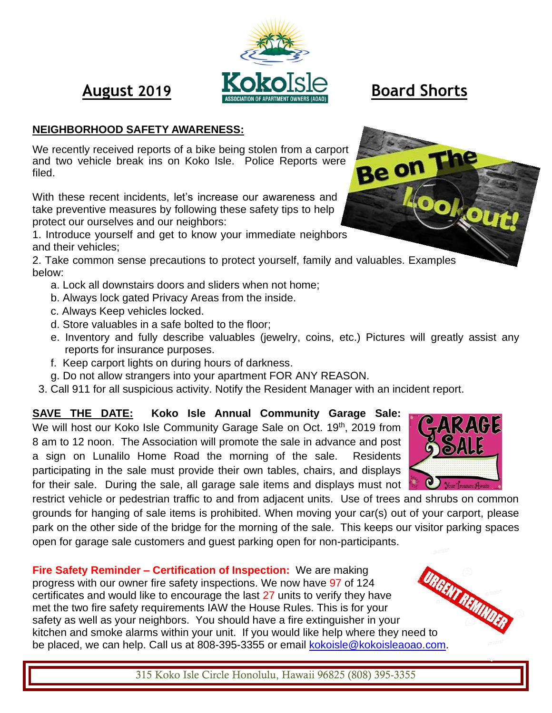

## **NEIGHBORHOOD SAFETY AWARENESS:**

We recently received reports of a bike being stolen from a carport and two vehicle break ins on Koko Isle. Police Reports were filed.

With these recent incidents, let's increase our awareness and take preventive measures by following these safety tips to help protect our ourselves and our neighbors:

1. Introduce yourself and get to know your immediate neighbors and their vehicles;

2. Take common sense precautions to protect yourself, family and valuables. Examples below:

- a. Lock all downstairs doors and sliders when not home;
- b. Always lock gated Privacy Areas from the inside.
- c. Always Keep vehicles locked.
- d. Store valuables in a safe bolted to the floor;
- e. Inventory and fully describe valuables (jewelry, coins, etc.) Pictures will greatly assist any reports for insurance purposes.
- f. Keep carport lights on during hours of darkness.
- g. Do not allow strangers into your apartment FOR ANY REASON.
- 3. Call 911 for all suspicious activity. Notify the Resident Manager with an incident report.

# **SAVE THE DATE: Koko Isle Annual Community Garage Sale:**

We will host our Koko Isle Community Garage Sale on Oct. 19th, 2019 from 8 am to 12 noon. The Association will promote the sale in advance and post a sign on Lunalilo Home Road the morning of the sale.Residents participating in the sale must provide their own tables, chairs, and displays for their sale. During the sale, all garage sale items and displays must not

restrict vehicle or pedestrian traffic to and from adjacent units. Use of trees and shrubs on common grounds for hanging of sale items is prohibited. When moving your car(s) out of your carport, please park on the other side of the bridge for the morning of the sale. This keeps our visitor parking spaces open for garage sale customers and guest parking open for non-participants.

**Fire Safety Reminder – Certification of Inspection:** We are making progress with our owner fire safety inspections. We now have 97 of 124 certificates and would like to encourage the last 27 units to verify they have met the two fire safety requirements IAW the House Rules. This is for your safety as well as your neighbors. You should have a fire extinguisher in your Fire Safety Reminus.<br>
progress with our owner fire safety inspections.  $\frac{1}{100}$ <br>
certificates and would like to encourage the last 27 units to verify they nave<br>
met the two fire safety requirements IAW the House Rules. be placed, we can help. Call us at 808-395-3355 or email [kokoisle@kokoisleaoao.com.](mailto:kokoisle@kokoisleaoao.com)



315 Koko Isle Circle Honolulu, Hawaii 96825 (808) 395-3355



**Be on**